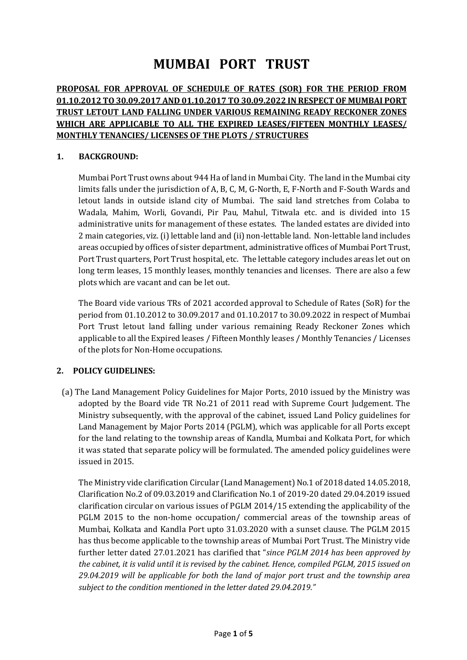# **MUMBAI PORT TRUST**

# **PROPOSAL FOR APPROVAL OF SCHEDULE OF RATES (SOR) FOR THE PERIOD FROM 01.10.2012 TO 30.09.2017 AND 01.10.2017 TO 30.09.2022 IN RESPECT OF MUMBAI PORT TRUST LETOUT LAND FALLING UNDER VARIOUS REMAINING READY RECKONER ZONES WHICH ARE APPLICABLE TO ALL THE EXPIRED LEASES/FIFTEEN MONTHLY LEASES/ MONTHLY TENANCIES/ LICENSES OF THE PLOTS / STRUCTURES**

## **1. BACKGROUND:**

Mumbai Port Trust owns about 944 Ha of land in Mumbai City. The land in the Mumbai city limits falls under the jurisdiction of A, B, C, M, G-North, E, F-North and F-South Wards and letout lands in outside island city of Mumbai. The said land stretches from Colaba to Wadala, Mahim, Worli, Govandi, Pir Pau, Mahul, Titwala etc. and is divided into 15 administrative units for management of these estates. The landed estates are divided into 2 main categories, viz. (i) lettable land and (ii) non-lettable land. Non-lettable land includes areas occupied by offices of sister department, administrative offices of Mumbai Port Trust, Port Trust quarters, Port Trust hospital, etc. The lettable category includes areas let out on long term leases, 15 monthly leases, monthly tenancies and licenses. There are also a few plots which are vacant and can be let out.

The Board vide various TRs of 2021 accorded approval to Schedule of Rates (SoR) for the period from 01.10.2012 to 30.09.2017 and 01.10.2017 to 30.09.2022 in respect of Mumbai Port Trust letout land falling under various remaining Ready Reckoner Zones which applicable to all the Expired leases / Fifteen Monthly leases / Monthly Tenancies / Licenses of the plots for Non-Home occupations.

## **2. POLICY GUIDELINES:**

(a) The Land Management Policy Guidelines for Major Ports, 2010 issued by the Ministry was adopted by the Board vide TR No.21 of 2011 read with Supreme Court Judgement. The Ministry subsequently, with the approval of the cabinet, issued Land Policy guidelines for Land Management by Major Ports 2014 (PGLM), which was applicable for all Ports except for the land relating to the township areas of Kandla, Mumbai and Kolkata Port, for which it was stated that separate policy will be formulated. The amended policy guidelines were issued in 2015.

The Ministry vide clarification Circular (Land Management) No.1 of 2018 dated 14.05.2018, Clarification No.2 of 09.03.2019 and Clarification No.1 of 2019-20 dated 29.04.2019 issued clarification circular on various issues of PGLM 2014/15 extending the applicability of the PGLM 2015 to the non-home occupation/ commercial areas of the township areas of Mumbai, Kolkata and Kandla Port upto 31.03.2020 with a sunset clause. The PGLM 2015 has thus become applicable to the township areas of Mumbai Port Trust. The Ministry vide further letter dated 27.01.2021 has clarified that "*since PGLM 2014 has been approved by the cabinet, it is valid until it is revised by the cabinet. Hence, compiled PGLM, 2015 issued on 29.04.2019 will be applicable for both the land of major port trust and the township area subject to the condition mentioned in the letter dated 29.04.2019."*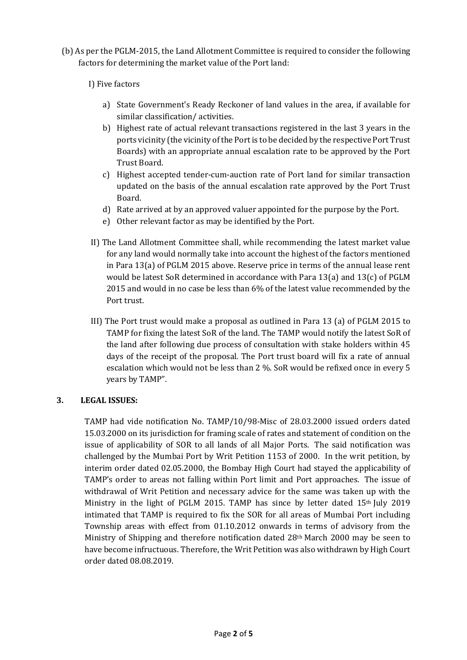- (b) As per the PGLM-2015, the Land Allotment Committee is required to consider the following factors for determining the market value of the Port land:
	- I) Five factors
		- a) State Government's Ready Reckoner of land values in the area, if available for similar classification/ activities.
		- b) Highest rate of actual relevant transactions registered in the last 3 years in the ports vicinity (the vicinity of the Port is to be decided by the respective Port Trust Boards) with an appropriate annual escalation rate to be approved by the Port Trust Board.
		- c) Highest accepted tender-cum-auction rate of Port land for similar transaction updated on the basis of the annual escalation rate approved by the Port Trust Board.
		- d) Rate arrived at by an approved valuer appointed for the purpose by the Port.
		- e) Other relevant factor as may be identified by the Port.
	- II) The Land Allotment Committee shall, while recommending the latest market value for any land would normally take into account the highest of the factors mentioned in Para 13(a) of PGLM 2015 above. Reserve price in terms of the annual lease rent would be latest SoR determined in accordance with Para 13(a) and 13(c) of PGLM 2015 and would in no case be less than 6% of the latest value recommended by the Port trust.
	- III) The Port trust would make a proposal as outlined in Para 13 (a) of PGLM 2015 to TAMP for fixing the latest SoR of the land. The TAMP would notify the latest SoR of the land after following due process of consultation with stake holders within 45 days of the receipt of the proposal. The Port trust board will fix a rate of annual escalation which would not be less than 2 %. SoR would be refixed once in every 5 years by TAMP".

## **3. LEGAL ISSUES:**

TAMP had vide notification No. TAMP/10/98-Misc of 28.03.2000 issued orders dated 15.03.2000 on its jurisdiction for framing scale of rates and statement of condition on the issue of applicability of SOR to all lands of all Major Ports. The said notification was challenged by the Mumbai Port by Writ Petition 1153 of 2000. In the writ petition, by interim order dated 02.05.2000, the Bombay High Court had stayed the applicability of TAMP's order to areas not falling within Port limit and Port approaches. The issue of withdrawal of Writ Petition and necessary advice for the same was taken up with the Ministry in the light of PGLM 2015. TAMP has since by letter dated  $15<sup>th</sup>$  July 2019 intimated that TAMP is required to fix the SOR for all areas of Mumbai Port including Township areas with effect from 01.10.2012 onwards in terms of advisory from the Ministry of Shipping and therefore notification dated 28th March 2000 may be seen to have become infructuous. Therefore, the Writ Petition was also withdrawn by High Court order dated 08.08.2019.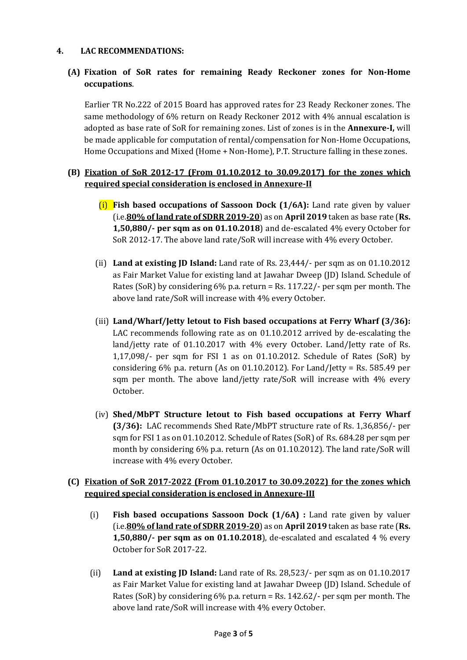## **4. LAC RECOMMENDATIONS:**

## **(A) Fixation of SoR rates for remaining Ready Reckoner zones for Non-Home occupations**.

Earlier TR No.222 of 2015 Board has approved rates for 23 Ready Reckoner zones. The same methodology of 6% return on Ready Reckoner 2012 with 4% annual escalation is adopted as base rate of SoR for remaining zones. List of zones is in the **Annexure-I,** will be made applicable for computation of rental/compensation for Non-Home Occupations, Home Occupations and Mixed (Home + Non-Home), P.T. Structure falling in these zones.

## **(B) Fixation of SoR 2012-17 (From 01.10.2012 to 30.09.2017) for the zones which required special consideration is enclosed in Annexure-II**

- (i) **Fish based occupations of Sassoon Dock (1/6A):** Land rate given by valuer (i.e.**80% of land rate of SDRR 2019-20**) as on **April 2019** taken as base rate (**Rs. 1,50,880/- per sqm as on 01.10.2018**) and de-escalated 4% every October for SoR 2012-17. The above land rate/SoR will increase with 4% every October.
- (ii) **Land at existing JD Island:** Land rate of Rs. 23,444/- per sqm as on 01.10.2012 as Fair Market Value for existing land at Jawahar Dweep (JD) Island. Schedule of Rates (SoR) by considering 6% p.a. return = Rs. 117.22/- per sqm per month. The above land rate/SoR will increase with 4% every October.
- (iii) **Land/Wharf/Jetty letout to Fish based occupations at Ferry Wharf (3/36):**  LAC recommends following rate as on 01.10.2012 arrived by de-escalating the land/jetty rate of 01.10.2017 with 4% every October. Land/Jetty rate of Rs. 1,17,098/- per sqm for FSI 1 as on 01.10.2012. Schedule of Rates (SoR) by considering 6% p.a. return (As on 01.10.2012). For Land/Jetty = Rs. 585.49 per sqm per month. The above land/jetty rate/SoR will increase with 4% every October.
- (iv) **Shed/MbPT Structure letout to Fish based occupations at Ferry Wharf (3/36):** LAC recommends Shed Rate/MbPT structure rate of Rs. 1,36,856/- per sqm for FSI 1 as on 01.10.2012. Schedule of Rates (SoR) of Rs. 684.28 per sqm per month by considering 6% p.a. return (As on 01.10.2012). The land rate/SoR will increase with 4% every October.

## **(C) Fixation of SoR 2017-2022 (From 01.10.2017 to 30.09.2022) for the zones which required special consideration is enclosed in Annexure-III**

- (i) **Fish based occupations Sassoon Dock (1/6A) :** Land rate given by valuer (i.e.**80% of land rate of SDRR 2019-20**) as on **April 2019** taken as base rate (**Rs. 1,50,880/- per sqm as on 01.10.2018**), de-escalated and escalated 4 % every October for SoR 2017-22.
- (ii) **Land at existing JD Island:** Land rate of Rs. 28,523/- per sqm as on 01.10.2017 as Fair Market Value for existing land at Jawahar Dweep (JD) Island. Schedule of Rates (SoR) by considering  $6\%$  p.a. return = Rs. 142.62/- per sqm per month. The above land rate/SoR will increase with 4% every October.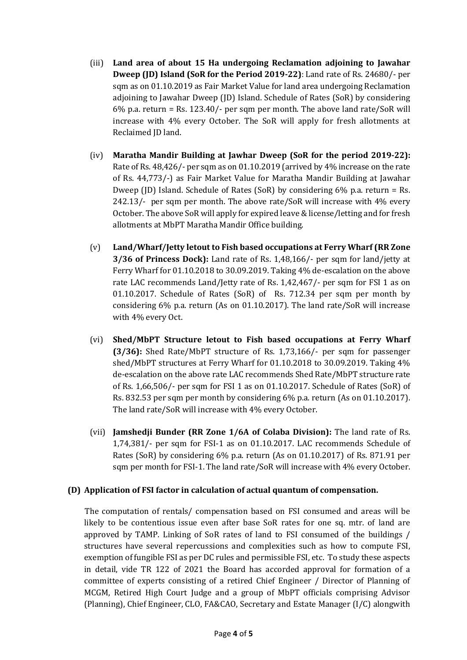- (iii) **Land area of about 15 Ha undergoing Reclamation adjoining to Jawahar Dweep (JD) Island (SoR for the Period 2019-22)**: Land rate of Rs. 24680/- per sqm as on 01.10.2019 as Fair Market Value for land area undergoing Reclamation adjoining to Jawahar Dweep (JD) Island. Schedule of Rates (SoR) by considering 6% p.a. return = Rs. 123.40/- per sqm per month. The above land rate/SoR will increase with 4% every October. The SoR will apply for fresh allotments at Reclaimed JD land.
- (iv) **Maratha Mandir Building at Jawhar Dweep (SoR for the period 2019-22):** Rate of Rs. 48,426/- per sqm as on 01.10.2019 (arrived by 4% increase on the rate of Rs. 44,773/-) as Fair Market Value for Maratha Mandir Building at Jawahar Dweep (JD) Island. Schedule of Rates (SoR) by considering 6% p.a. return = Rs. 242.13/- per sqm per month. The above rate/SoR will increase with 4% every October. The above SoR will apply for expired leave & license/letting and for fresh allotments at MbPT Maratha Mandir Office building.
- (v) **Land/Wharf/Jetty letout to Fish based occupations at Ferry Wharf (RR Zone 3/36 of Princess Dock):** Land rate of Rs. 1,48,166/- per sqm for land/jetty at Ferry Wharf for 01.10.2018 to 30.09.2019. Taking 4% de-escalation on the above rate LAC recommends Land/Jetty rate of Rs. 1,42,467/- per sqm for FSI 1 as on 01.10.2017. Schedule of Rates (SoR) of Rs. 712.34 per sqm per month by considering 6% p.a. return (As on 01.10.2017). The land rate/SoR will increase with 4% every Oct.
- (vi) **Shed/MbPT Structure letout to Fish based occupations at Ferry Wharf (3/36):** Shed Rate/MbPT structure of Rs. 1,73,166/- per sqm for passenger shed/MbPT structures at Ferry Wharf for 01.10.2018 to 30.09.2019. Taking 4% de-escalation on the above rate LAC recommends Shed Rate/MbPT structure rate of Rs. 1,66,506/- per sqm for FSI 1 as on 01.10.2017. Schedule of Rates (SoR) of Rs. 832.53 per sqm per month by considering 6% p.a. return (As on 01.10.2017). The land rate/SoR will increase with 4% every October.
- (vii) **Jamshedji Bunder (RR Zone 1/6A of Colaba Division):** The land rate of Rs. 1,74,381/- per sqm for FSI-1 as on 01.10.2017. LAC recommends Schedule of Rates (SoR) by considering 6% p.a. return (As on 01.10.2017) of Rs. 871.91 per sqm per month for FSI-1. The land rate/SoR will increase with 4% every October.

## **(D) Application of FSI factor in calculation of actual quantum of compensation.**

The computation of rentals/ compensation based on FSI consumed and areas will be likely to be contentious issue even after base SoR rates for one sq. mtr. of land are approved by TAMP. Linking of SoR rates of land to FSI consumed of the buildings / structures have several repercussions and complexities such as how to compute FSI, exemption of fungible FSI as per DC rules and permissible FSI, etc. To study these aspects in detail, vide TR 122 of 2021 the Board has accorded approval for formation of a committee of experts consisting of a retired Chief Engineer / Director of Planning of MCGM, Retired High Court Judge and a group of MbPT officials comprising Advisor (Planning), Chief Engineer, CLO, FA&CAO, Secretary and Estate Manager (I/C) alongwith